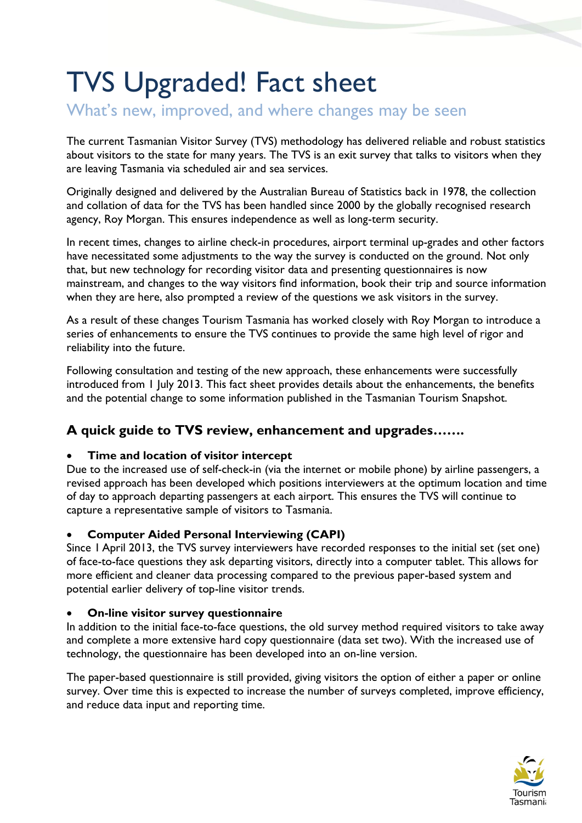# TVS Upgraded! Fact sheet

What's new, improved, and where changes may be seen

The current Tasmanian Visitor Survey (TVS) methodology has delivered reliable and robust statistics about visitors to the state for many years. The TVS is an exit survey that talks to visitors when they are leaving Tasmania via scheduled air and sea services.

Originally designed and delivered by the Australian Bureau of Statistics back in 1978, the collection and collation of data for the TVS has been handled since 2000 by the globally recognised research agency, Roy Morgan. This ensures independence as well as long-term security.

In recent times, changes to airline check-in procedures, airport terminal up-grades and other factors have necessitated some adjustments to the way the survey is conducted on the ground. Not only that, but new technology for recording visitor data and presenting questionnaires is now mainstream, and changes to the way visitors find information, book their trip and source information when they are here, also prompted a review of the questions we ask visitors in the survey.

As a result of these changes Tourism Tasmania has worked closely with Roy Morgan to introduce a series of enhancements to ensure the TVS continues to provide the same high level of rigor and reliability into the future.

Following consultation and testing of the new approach, these enhancements were successfully introduced from 1 July 2013. This fact sheet provides details about the enhancements, the benefits and the potential change to some information published in the Tasmanian Tourism Snapshot.

# **A quick guide to TVS review, enhancement and upgrades…….**

# **Time and location of visitor intercept**

Due to the increased use of self-check-in (via the internet or mobile phone) by airline passengers, a revised approach has been developed which positions interviewers at the optimum location and time of day to approach departing passengers at each airport. This ensures the TVS will continue to capture a representative sample of visitors to Tasmania.

# **Computer Aided Personal Interviewing (CAPI)**

Since 1April 2013, the TVS survey interviewers have recorded responses to the initial set (set one) of face-to-face questions they ask departing visitors, directly into a computer tablet. This allows for more efficient and cleaner data processing compared to the previous paper-based system and potential earlier delivery of top-line visitor trends.

# **On-line visitor survey questionnaire**

In addition to the initial face-to-face questions, the old survey method required visitors to take away and complete a more extensive hard copy questionnaire (data set two). With the increased use of technology, the questionnaire has been developed into an on-line version.

The paper-based questionnaire is still provided, giving visitors the option of either a paper or online survey. Over time this is expected to increase the number of surveys completed, improve efficiency, and reduce data input and reporting time.